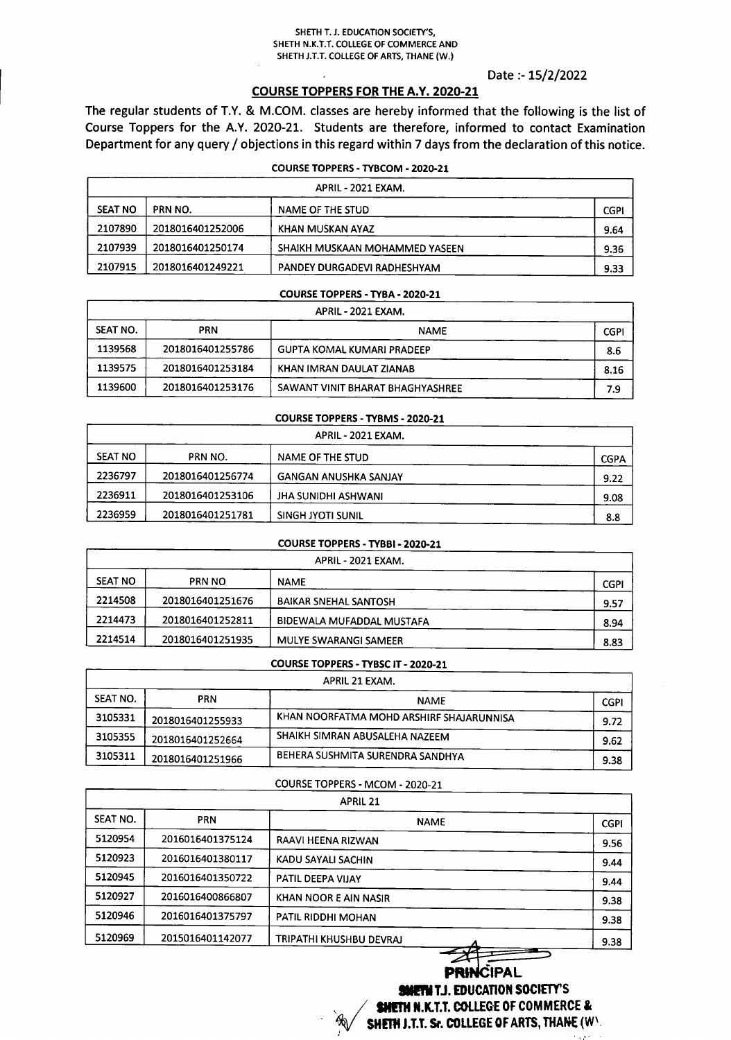#### SHETH T. J. EDUCATION SOCIETY'S, SHETH N.K.T.T. COLLEGE OF COMMERCE AND SHETH J.T.T. COLLEGE OF ARTS, THANE (W.)

# Date :- 15/2/2022

## COURSE TOPPERS FOR THE A.Y. 2020-21

The regular students of T.Y. & M.COM. classes are hereby informed that the following is the list of Course Toppers for the A.Y. 2020-21. Students are therefore, informed to contact Examination Department for any query / objections in this regard within 7 days from the declaration of this notice.

# COURSETOPPERS- TYBCOM - 2020-21

| APRIL - 2021 EXAM. |                  |                                |             |  |
|--------------------|------------------|--------------------------------|-------------|--|
| <b>SEAT NO</b>     | PRN NO.          | NAME OF THE STUD               | <b>CGPI</b> |  |
| 2107890            | 2018016401252006 | KHAN MUSKAN AYAZ               | 9.64        |  |
| 2107939            | 2018016401250174 | SHAIKH MUSKAAN MOHAMMED YASEEN | 9.36        |  |
| 2107915            | 2018016401249221 | PANDEY DURGADEVI RADHESHYAM    | 9.33        |  |

#### COURSETOPPERS- TYBA - 2020-21

| APRIL - 2021 EXAM. |                  |                                  |             |  |
|--------------------|------------------|----------------------------------|-------------|--|
| SEAT NO.           | <b>PRN</b>       | <b>NAME</b>                      | <b>CGPI</b> |  |
| 1139568            | 2018016401255786 | GUPTA KOMAL KUMARI PRADEEP       | 8.6         |  |
| 1139575            | 2018016401253184 | KHAN IMRAN DAULAT ZIANAB         | 8.16        |  |
| 1139600            | 2018016401253176 | SAWANT VINIT BHARAT BHAGHYASHREE | 7.9         |  |

### COURSETOPPERS- TYBMS - 2020-21

| <b>APRIL - 2021 EXAM.</b> |                  |                              |             |  |
|---------------------------|------------------|------------------------------|-------------|--|
| <b>SEAT NO</b>            | PRN NO.          | NAME OF THE STUD             | <b>CGPA</b> |  |
| 2236797                   | 2018016401256774 | <b>GANGAN ANUSHKA SANJAY</b> | 9.22        |  |
| 2236911                   | 2018016401253106 | JHA SUNIDHI ASHWANI          | 9.08        |  |
| 2236959                   | 2018016401251781 | SINGH JYOTI SUNIL            | 8.8         |  |

### COURSETOPPERS- TYBBI - 2020-21

| APRIL - 2021 EXAM. |                  |                              |             |  |
|--------------------|------------------|------------------------------|-------------|--|
| <b>SEAT NO</b>     | <b>PRN NO</b>    | <b>NAME</b>                  | <b>CGPI</b> |  |
| 2214508            | 2018016401251676 | <b>BAIKAR SNEHAL SANTOSH</b> | 9.57        |  |
| 2214473            | 2018016401252811 | BIDEWALA MUFADDAL MUSTAFA    | 8.94        |  |
| 2214514            | 2018016401251935 | MULYE SWARANGI SAMEER        | 8.83        |  |

## COURSETOPPERS- TYBSCIT - 2020-21

| APRIL 21 EXAM. |                  |                                          |             |  |
|----------------|------------------|------------------------------------------|-------------|--|
| SEAT NO.       | <b>PRN</b>       | <b>NAME</b>                              | <b>CGPI</b> |  |
| 3105331        | 2018016401255933 | KHAN NOORFATMA MOHD ARSHIRF SHAJARUNNISA | 9.72        |  |
| 3105355        | 2018016401252664 | SHAIKH SIMRAN ABUSALEHA NAZEEM           | 9.62        |  |
| 3105311        | 2018016401251966 | BEHERA SUSHMITA SURENDRA SANDHYA         | 9.38        |  |

# COURSETOPPERS- MCOM - 2020-21

| APRIL 21 |                  |                         |             |  |
|----------|------------------|-------------------------|-------------|--|
| SEAT NO. | <b>PRN</b>       | <b>NAME</b>             | <b>CGPI</b> |  |
| 5120954  | 2016016401375124 | RAAVI HEENA RIZWAN      | 9.56        |  |
| 5120923  | 2016016401380117 | KADU SAYALI SACHIN      | 9.44        |  |
| 5120945  | 2016016401350722 | PATIL DEEPA VIJAY       | 9.44        |  |
| 5120927  | 2016016400866807 | KHAN NOOR E AIN NASIR   | 9.38        |  |
| 5120946  | 2016016401375797 | PATIL RIDDHI MOHAN      | 9.38        |  |
| 5120969  | 2015016401142077 | TRIPATHI KHUSHBU DEVRAJ | 9.38        |  |

~: PRINCIPAL SMETH T.J. EDUCATION SOCIETY'S **SHETH N.K.T.T. COLLEGE OF COMMERCE &<br>SHETH J.T.T. Sr. COLLEGE OF ARTS, THANE (W'.** 

*.J*

"',"